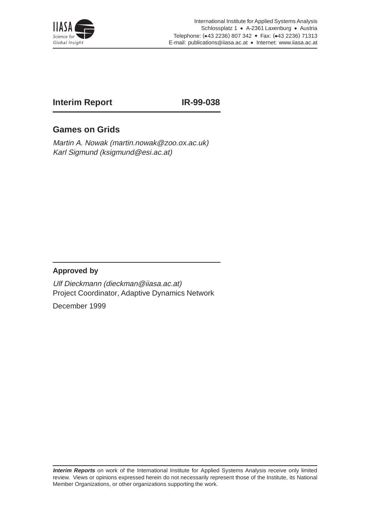

## **Interim Report IR-99-038**

### **Games on Grids**

Martin A. Nowak (martin.nowak@zoo.ox.ac.uk) Karl Sigmund (ksigmund@esi.ac.at)

### **Approved by**

Ulf Dieckmann (dieckman@iiasa.ac.at) Project Coordinator, Adaptive Dynamics Network December 1999

**Interim Reports** on work of the International Institute for Applied Systems Analysis receive only limited review. Views or opinions expressed herein do not necessarily represent those of the Institute, its National Member Organizations, or other organizations supporting the work.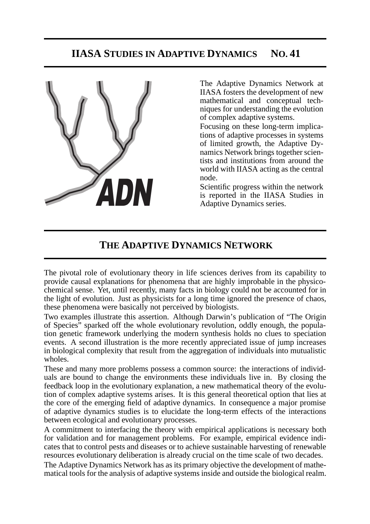## **IIASA STUDIES IN ADAPTIVE DYNAMICS NO. 41**



The Adaptive Dynamics Network at IIASA fosters the development of new mathematical and conceptual techniques for understanding the evolution of complex adaptive systems.

Focusing on these long-term implications of adaptive processes in systems of limited growth, the Adaptive Dynamics Network brings together scientists and institutions from around the world with IIASA acting as the central node.

Scientific progress within the network is reported in the IIASA Studies in Adaptive Dynamics series.

## **THE ADAPTIVE DYNAMICS NETWORK**

The pivotal role of evolutionary theory in life sciences derives from its capability to provide causal explanations for phenomena that are highly improbable in the physicochemical sense. Yet, until recently, many facts in biology could not be accounted for in the light of evolution. Just as physicists for a long time ignored the presence of chaos, these phenomena were basically not perceived by biologists.

Two examples illustrate this assertion. Although Darwin's publication of "The Origin of Species" sparked off the whole evolutionary revolution, oddly enough, the population genetic framework underlying the modern synthesis holds no clues to speciation events. A second illustration is the more recently appreciated issue of jump increases in biological complexity that result from the aggregation of individuals into mutualistic wholes.

These and many more problems possess a common source: the interactions of individuals are bound to change the environments these individuals live in. By closing the feedback loop in the evolutionary explanation, a new mathematical theory of the evolution of complex adaptive systems arises. It is this general theoretical option that lies at the core of the emerging field of adaptive dynamics. In consequence a major promise of adaptive dynamics studies is to elucidate the long-term effects of the interactions between ecological and evolutionary processes.

A commitment to interfacing the theory with empirical applications is necessary both for validation and for management problems. For example, empirical evidence indicates that to control pests and diseases or to achieve sustainable harvesting of renewable resources evolutionary deliberation is already crucial on the time scale of two decades.

The Adaptive Dynamics Network has as its primary objective the development of mathematical tools for the analysis of adaptive systems inside and outside the biological realm.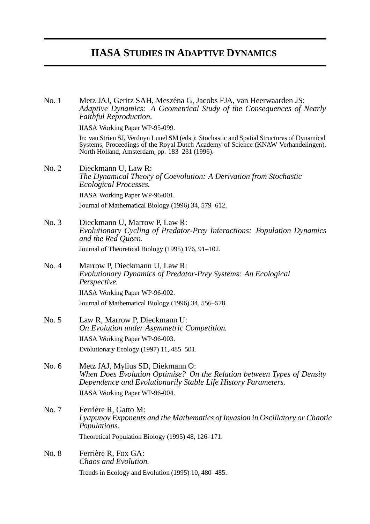# **IIASA STUDIES IN ADAPTIVE DYNAMICS**

No. 1 Metz JAJ, Geritz SAH, Meszéna G, Jacobs FJA, van Heerwaarden JS: *Adaptive Dynamics: A Geometrical Study of the Consequences of Nearly Faithful Reproduction.*

IIASA Working Paper WP-95-099.

In: van Strien SJ, Verduyn Lunel SM (eds.): Stochastic and Spatial Structures of Dynamical Systems, Proceedings of the Royal Dutch Academy of Science (KNAW Verhandelingen), North Holland, Amsterdam, pp. 183–231 (1996).

No. 2 Dieckmann U, Law R: *The Dynamical Theory of Coevolution: A Derivation from Stochastic Ecological Processes.*

IIASA Working Paper WP-96-001.

Journal of Mathematical Biology (1996) 34, 579–612.

No. 3 Dieckmann U, Marrow P, Law R: *Evolutionary Cycling of Predator-Prey Interactions: Population Dynamics and the Red Queen.*

Journal of Theoretical Biology (1995) 176, 91–102.

No. 4 Marrow P, Dieckmann U, Law R: *Evolutionary Dynamics of Predator-Prey Systems: An Ecological Perspective.*

> IIASA Working Paper WP-96-002. Journal of Mathematical Biology (1996) 34, 556–578.

- No. 5 Law R, Marrow P, Dieckmann U: *On Evolution under Asymmetric Competition.* IIASA Working Paper WP-96-003. Evolutionary Ecology (1997) 11, 485–501.
- No. 6 Metz JAJ, Mylius SD, Diekmann O: *When Does Evolution Optimise? On the Relation between Types of Density Dependence and Evolutionarily Stable Life History Parameters.* IIASA Working Paper WP-96-004.
- No. 7 Ferrière R, Gatto M: *Lyapunov Exponents and the Mathematics of Invasion in Oscillatory or Chaotic Populations.* Theoretical Population Biology (1995) 48, 126–171.
- No. 8 Ferrière R, Fox GA: *Chaos and Evolution.* Trends in Ecology and Evolution (1995) 10, 480–485.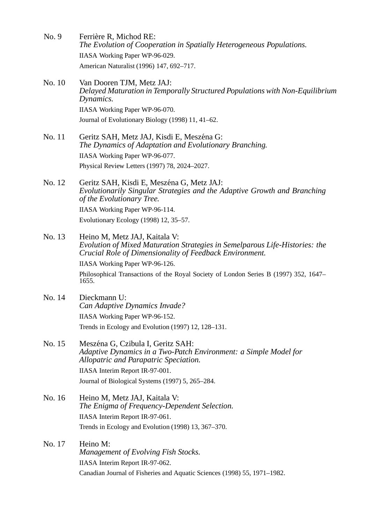- No. 9 Ferrière R, Michod RE: *The Evolution of Cooperation in Spatially Heterogeneous Populations.* IIASA Working Paper WP-96-029. American Naturalist (1996) 147, 692–717.
- No. 10 Van Dooren TJM, Metz JAJ: *Delayed Maturation in Temporally Structured Populations with Non-Equilibrium Dynamics.* IIASA Working Paper WP-96-070. Journal of Evolutionary Biology (1998) 11, 41–62.
- No. 11 Geritz SAH, Metz JAJ, Kisdi E, Meszéna G: *The Dynamics of Adaptation and Evolutionary Branching.* IIASA Working Paper WP-96-077. Physical Review Letters (1997) 78, 2024–2027.
- No. 12 Geritz SAH, Kisdi E, Meszéna G, Metz JAJ: *Evolutionarily Singular Strategies and the Adaptive Growth and Branching of the Evolutionary Tree.* IIASA Working Paper WP-96-114. Evolutionary Ecology (1998) 12, 35–57.
- No. 13 Heino M, Metz JAJ, Kaitala V: *Evolution of Mixed Maturation Strategies in Semelparous Life-Histories: the Crucial Role of Dimensionality of Feedback Environment.* IIASA Working Paper WP-96-126. Philosophical Transactions of the Royal Society of London Series B (1997) 352, 1647– 1655.
- No. 14 Dieckmann U: *Can Adaptive Dynamics Invade?* IIASA Working Paper WP-96-152. Trends in Ecology and Evolution (1997) 12, 128–131.
- No. 15 Meszéna G, Czibula I, Geritz SAH: *Adaptive Dynamics in a Two-Patch Environment: a Simple Model for Allopatric and Parapatric Speciation.* IIASA Interim Report IR-97-001. Journal of Biological Systems (1997) 5, 265–284.
- No. 16 Heino M, Metz JAJ, Kaitala V: *The Enigma of Frequency-Dependent Selection.* IIASA Interim Report IR-97-061. Trends in Ecology and Evolution (1998) 13, 367–370.
- No. 17 Heino M: *Management of Evolving Fish Stocks.* IIASA Interim Report IR-97-062. Canadian Journal of Fisheries and Aquatic Sciences (1998) 55, 1971–1982.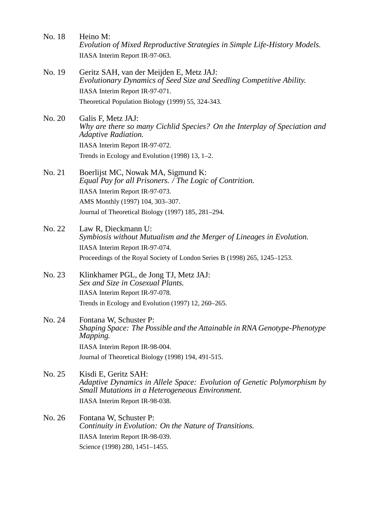| No. 18 | Heino M:<br>Evolution of Mixed Reproductive Strategies in Simple Life-History Models.                                                                     |
|--------|-----------------------------------------------------------------------------------------------------------------------------------------------------------|
|        | IIASA Interim Report IR-97-063.                                                                                                                           |
| No. 19 | Geritz SAH, van der Meijden E, Metz JAJ:<br>Evolutionary Dynamics of Seed Size and Seedling Competitive Ability.                                          |
|        | IIASA Interim Report IR-97-071.                                                                                                                           |
|        | Theoretical Population Biology (1999) 55, 324-343.                                                                                                        |
| No. 20 | Galis F, Metz JAJ:<br>Why are there so many Cichlid Species? On the Interplay of Speciation and<br><b>Adaptive Radiation.</b>                             |
|        | IIASA Interim Report IR-97-072.                                                                                                                           |
|        | Trends in Ecology and Evolution (1998) 13, 1–2.                                                                                                           |
| No. 21 | Boerlijst MC, Nowak MA, Sigmund K:<br>Equal Pay for all Prisoners. / The Logic of Contrition.                                                             |
|        | IIASA Interim Report IR-97-073.                                                                                                                           |
|        | AMS Monthly (1997) 104, 303-307.                                                                                                                          |
|        | Journal of Theoretical Biology (1997) 185, 281-294.                                                                                                       |
| No. 22 | Law R, Dieckmann U:<br>Symbiosis without Mutualism and the Merger of Lineages in Evolution.                                                               |
|        | IIASA Interim Report IR-97-074.                                                                                                                           |
|        | Proceedings of the Royal Society of London Series B (1998) 265, 1245–1253.                                                                                |
| No. 23 | Klinkhamer PGL, de Jong TJ, Metz JAJ:<br>Sex and Size in Cosexual Plants.                                                                                 |
|        | IIASA Interim Report IR-97-078.                                                                                                                           |
|        | Trends in Ecology and Evolution (1997) 12, 260–265.                                                                                                       |
| No. 24 | Fontana W, Schuster P:<br>Shaping Space: The Possible and the Attainable in RNA Genotype-Phenotype<br><i>Mapping.</i>                                     |
|        | IIASA Interim Report IR-98-004.                                                                                                                           |
|        | Journal of Theoretical Biology (1998) 194, 491-515.                                                                                                       |
| No. 25 | Kisdi E, Geritz SAH:<br>Adaptive Dynamics in Allele Space: Evolution of Genetic Polymorphism by<br><b>Small Mutations in a Heterogeneous Environment.</b> |
|        | IIASA Interim Report IR-98-038.                                                                                                                           |
| No. 26 | Fontana W, Schuster P:<br>Continuity in Evolution: On the Nature of Transitions.                                                                          |
|        | IIASA Interim Report IR-98-039.<br>Science (1998) 280, 1451-1455.                                                                                         |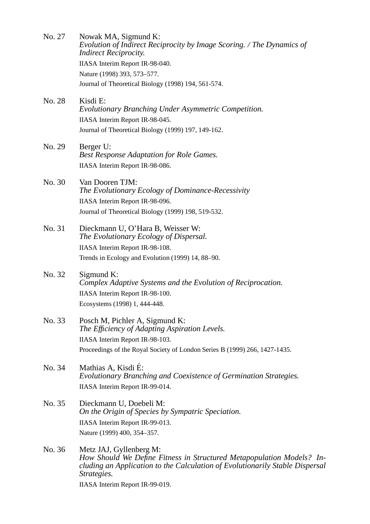| No. 27 | Nowak MA, Sigmund K:<br>Evolution of Indirect Reciprocity by Image Scoring. / The Dynamics of<br><b>Indirect Reciprocity.</b>                                                                   |
|--------|-------------------------------------------------------------------------------------------------------------------------------------------------------------------------------------------------|
|        | IIASA Interim Report IR-98-040.                                                                                                                                                                 |
|        | Nature (1998) 393, 573-577.                                                                                                                                                                     |
|        | Journal of Theoretical Biology (1998) 194, 561-574.                                                                                                                                             |
| No. 28 | Kisdi E:<br>Evolutionary Branching Under Asymmetric Competition.                                                                                                                                |
|        | IIASA Interim Report IR-98-045.                                                                                                                                                                 |
|        | Journal of Theoretical Biology (1999) 197, 149-162.                                                                                                                                             |
|        |                                                                                                                                                                                                 |
| No. 29 | Berger U:<br><b>Best Response Adaptation for Role Games.</b>                                                                                                                                    |
|        |                                                                                                                                                                                                 |
|        | IIASA Interim Report IR-98-086.                                                                                                                                                                 |
| No. 30 | Van Dooren TJM:                                                                                                                                                                                 |
|        | The Evolutionary Ecology of Dominance-Recessivity                                                                                                                                               |
|        | IIASA Interim Report IR-98-096.                                                                                                                                                                 |
|        | Journal of Theoretical Biology (1999) 198, 519-532.                                                                                                                                             |
| No. 31 | Dieckmann U, O'Hara B, Weisser W:<br>The Evolutionary Ecology of Dispersal.                                                                                                                     |
|        | IIASA Interim Report IR-98-108.                                                                                                                                                                 |
|        | Trends in Ecology and Evolution (1999) 14, 88–90.                                                                                                                                               |
| No. 32 | Sigmund $K$ :<br>Complex Adaptive Systems and the Evolution of Reciprocation.                                                                                                                   |
|        | IIASA Interim Report IR-98-100.                                                                                                                                                                 |
|        | Ecosystems (1998) 1, 444-448.                                                                                                                                                                   |
| No. 33 | Posch M, Pichler A, Sigmund K:<br>The Efficiency of Adapting Aspiration Levels.                                                                                                                 |
|        | IIASA Interim Report IR-98-103.                                                                                                                                                                 |
|        | Proceedings of the Royal Society of London Series B (1999) 266, 1427-1435.                                                                                                                      |
| No. 34 | Mathias A, Kisdi É:<br>Evolutionary Branching and Coexistence of Germination Strategies.                                                                                                        |
|        | IIASA Interim Report IR-99-014.                                                                                                                                                                 |
| No. 35 | Dieckmann U, Doebeli M:<br>On the Origin of Species by Sympatric Speciation.                                                                                                                    |
|        | IIASA Interim Report IR-99-013.                                                                                                                                                                 |
|        | Nature (1999) 400, 354–357.                                                                                                                                                                     |
| No. 36 | Metz JAJ, Gyllenberg M:<br>How Should We Define Fitness in Structured Metapopulation Models? In-<br>cluding an Application to the Calculation of Evolutionarily Stable Dispersal<br>Strategies. |
|        | IIASA Interim Report IR-99-019.                                                                                                                                                                 |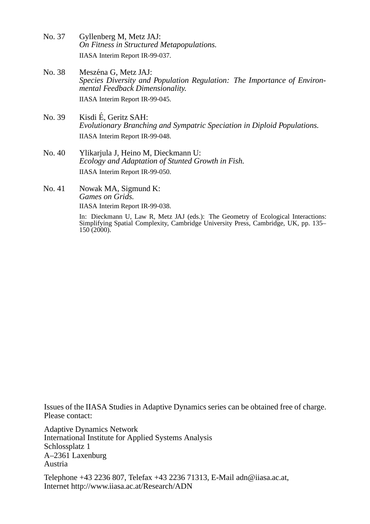- No. 37 Gyllenberg M, Metz JAJ: *On Fitness in Structured Metapopulations.* IIASA Interim Report IR-99-037.
- No. 38 Meszéna G, Metz JAJ: *Species Diversity and Population Regulation: The Importance of Environmental Feedback Dimensionality.* IIASA Interim Report IR-99-045.
- No. 39 Kisdi E, Geritz SAH: ´ *Evolutionary Branching and Sympatric Speciation in Diploid Populations.* IIASA Interim Report IR-99-048.
- No. 40 Ylikarjula J, Heino M, Dieckmann U: *Ecology and Adaptation of Stunted Growth in Fish.* IIASA Interim Report IR-99-050.
- No. 41 Nowak MA, Sigmund K: *Games on Grids.*

IIASA Interim Report IR-99-038.

In: Dieckmann U, Law R, Metz JAJ (eds.): The Geometry of Ecological Interactions: Simplifying Spatial Complexity, Cambridge University Press, Cambridge, UK, pp. 135– 150 (2000).

Issues of the IIASA Studies in Adaptive Dynamics series can be obtained free of charge. Please contact:

Adaptive Dynamics Network International Institute for Applied Systems Analysis Schlossplatz 1 A–2361 Laxenburg Austria

Telephone +43 2236 807, Telefax +43 2236 71313, E-Mail adn@iiasa.ac.at, Internet http://www.iiasa.ac.at/Research/ADN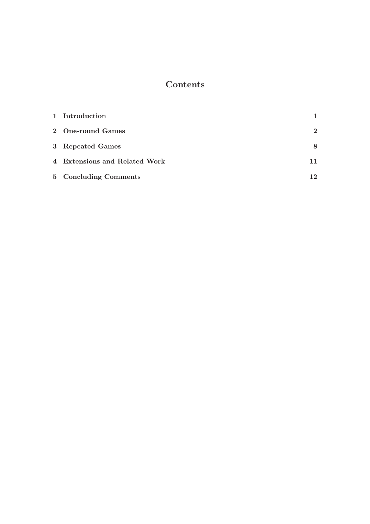### Contents

| 1 Introduction                |              |
|-------------------------------|--------------|
| 2 One-round Games             | $\mathbf{2}$ |
| 3 Repeated Games              | 8            |
| 4 Extensions and Related Work | 11           |
| 5 Concluding Comments         | 12           |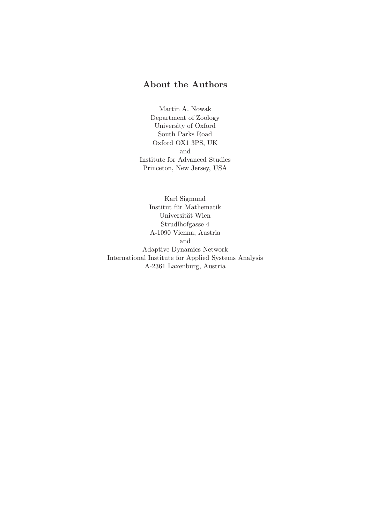### About the Authors

Martin A. Nowak Department of Zoology University of Oxford South Parks Road Oxford OX1 3PS, UK and Institute for Advanced Studies Princeton, New Jersey, USA

Karl Sigmund Institut für Mathematik Universität Wien Strudlhofgasse 4 A-1090 Vienna, Austria and Adaptive Dynamics Network International Institute for Applied Systems Analysis A-2361 Laxenburg, Austria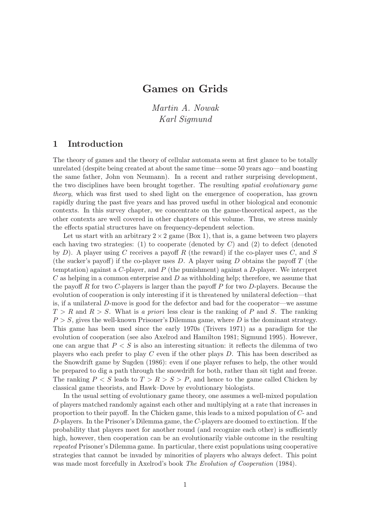### Games on Grids

Martin A. Nowak Karl Sigmund

#### 1 Introduction

The theory of games and the theory of cellular automata seem at first glance to be totally unrelated (despite being created at about the same time—some 50 years ago—and boasting the same father, John von Neumann). In a recent and rather surprising development, the two disciplines have been brought together. The resulting *spatial evolutionary game* theory, which was first used to shed light on the emergence of cooperation, has grown rapidly during the past five years and has proved useful in other biological and economic contexts. In this survey chapter, we concentrate on the game-theoretical aspect, as the other contexts are well covered in other chapters of this volume. Thus, we stress mainly the effects spatial structures have on frequency-dependent selection.

Let us start with an arbitrary  $2 \times 2$  game (Box 1), that is, a game between two players each having two strategies:  $(1)$  to cooperate (denoted by C) and  $(2)$  to defect (denoted by D). A player using C receives a payoff R (the reward) if the co-player uses C, and S (the sucker's payoff) if the co-player uses D. A player using D obtains the payoff  $T$  (the temptation) against a C-player, and P (the punishment) against a D-player. We interpret  $C$  as helping in a common enterprise and  $D$  as withholding help; therefore, we assume that the payoff R for two C-players is larger than the payoff P for two D-players. Because the evolution of cooperation is only interesting if it is threatened by unilateral defection—that is, if a unilateral D-move is good for the defector and bad for the cooperator—we assume  $T>R$  and  $R>S$ . What is a priori less clear is the ranking of P and S. The ranking  $P > S$ , gives the well-known Prisoner's Dilemma game, where D is the dominant strategy. This game has been used since the early 1970s (Trivers 1971) as a paradigm for the evolution of cooperation (see also Axelrod and Hamilton 1981; Sigmund 1995). However, one can argue that  $P \leq S$  is also an interesting situation: it reflects the dilemma of two players who each prefer to play C even if the other plays  $D$ . This has been described as the Snowdrift game by Sugden (1986): even if one player refuses to help, the other would be prepared to dig a path through the snowdrift for both, rather than sit tight and freeze. The ranking  $P < S$  leads to  $T > R > S > P$ , and hence to the game called Chicken by classical game theorists, and Hawk–Dove by evolutionary biologists.

In the usual setting of evolutionary game theory, one assumes a well-mixed population of players matched randomly against each other and multiplying at a rate that increases in proportion to their payoff. In the Chicken game, this leads to a mixed population of C- and  $D$ -players. In the Prisoner's Dilemma game, the  $C$ -players are doomed to extinction. If the probability that players meet for another round (and recognize each other) is sufficiently high, however, then cooperation can be an evolutionarily viable outcome in the resulting repeated Prisoner's Dilemma game. In particular, there exist populations using cooperative strategies that cannot be invaded by minorities of players who always defect. This point was made most forcefully in Axelrod's book The Evolution of Cooperation (1984).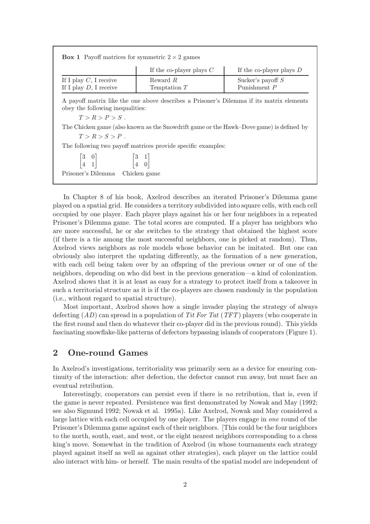|                                                                                               | If the co-player plays $C$                                                              | If the co-player plays $D$ |  |
|-----------------------------------------------------------------------------------------------|-----------------------------------------------------------------------------------------|----------------------------|--|
| If I play $C$ , I receive                                                                     | Reward R                                                                                | Sucker's payoff $S$        |  |
| If I play $D$ , I receive                                                                     | Temptation $T$                                                                          | Punishment P               |  |
| T > R > S > P                                                                                 | The Chicken game (also known as the Snowdrift game or the Hawk–Dove game) is defined by |                            |  |
|                                                                                               | The following two payoff matrices provide specific examples:                            |                            |  |
| $\begin{bmatrix} 3 & 0 \\ 4 & 1 \end{bmatrix}$ $\begin{bmatrix} 3 & 1 \\ 4 & 0 \end{bmatrix}$ |                                                                                         |                            |  |

In Chapter 8 of his book, Axelrod describes an iterated Prisoner's Dilemma game played on a spatial grid. He considers a territory subdivided into square cells, with each cell occupied by one player. Each player plays against his or her four neighbors in a repeated Prisoner's Dilemma game. The total scores are computed. If a player has neighbors who are more successful, he or she switches to the strategy that obtained the highest score (if there is a tie among the most successful neighbors, one is picked at random). Thus, Axelrod views neighbors as role models whose behavior can be imitated. But one can obviously also interpret the updating differently, as the formation of a new generation, with each cell being taken over by an offspring of the previous owner or of one of the neighbors, depending on who did best in the previous generation—a kind of colonization. Axelrod shows that it is at least as easy for a strategy to protect itself from a takeover in such a territorial structure as it is if the co-players are chosen randomly in the population (i.e., without regard to spatial structure).

Most important, Axelrod shows how a single invader playing the strategy of always defecting  $(AD)$  can spread in a population of Tit For Tat (TFT) players (who cooperate in the first round and then do whatever their co-player did in the previous round). This yields fascinating snowflake-like patterns of defectors bypassing islands of cooperators (Figure 1).

#### 2 One-round Games

In Axelrod's investigations, territoriality was primarily seen as a device for ensuring continuity of the interaction: after defection, the defector cannot run away, but must face an eventual retribution.

Interestingly, cooperators can persist even if there is no retribution, that is, even if the game is never repeated. Persistence was first demonstrated by Nowak and May (1992; see also Sigmund 1992; Nowak et al. 1995a). Like Axelrod, Nowak and May considered a large lattice with each cell occupied by one player. The players engage in one round of the Prisoner's Dilemma game against each of their neighbors. [This could be the four neighbors to the north, south, east, and west, or the eight nearest neighbors corresponding to a chess king's move. Somewhat in the tradition of Axelrod (in whose tournaments each strategy played against itself as well as against other strategies), each player on the lattice could also interact with him- or herself. The main results of the spatial model are independent of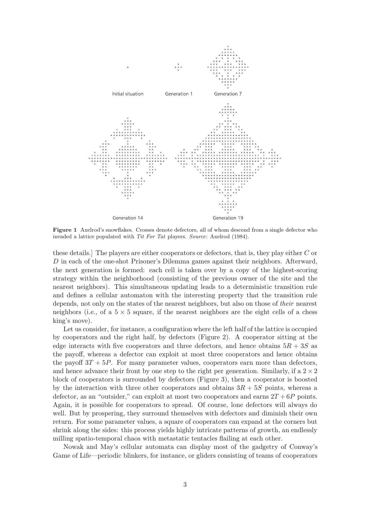

Figure 1 Axelrod's snowflakes. Crosses denote defectors, all of whom descend from a single defector who invaded a lattice populated with Tit For Tat players. Source: Axelrod (1984).

these details.] The players are either cooperators or defectors, that is, they play either C or D in each of the one-shot Prisoner's Dilemma games against their neighbors. Afterward, the next generation is formed: each cell is taken over by a copy of the highest-scoring strategy within the neighborhood (consisting of the previous owner of the site and the nearest neighbors). This simultaneous updating leads to a deterministic transition rule and defines a cellular automaton with the interesting property that the transition rule depends, not only on the states of the nearest neighbors, but also on those of *their* nearest neighbors (i.e., of a  $5 \times 5$  square, if the nearest neighbors are the eight cells of a chess king's move).

Let us consider, for instance, a configuration where the left half of the lattice is occupied by cooperators and the right half, by defectors (Figure 2). A cooperator sitting at the edge interacts with five cooperators and three defectors, and hence obtains  $5R + 3S$  as the payoff, whereas a defector can exploit at most three cooperators and hence obtains the payoff  $3T + 5P$ . For many parameter values, cooperators earn more than defectors, and hence advance their front by one step to the right per generation. Similarly, if a  $2 \times 2$ block of cooperators is surrounded by defectors (Figure 3), then a cooperator is boosted by the interaction with three other cooperators and obtains  $3R + 5S$  points, whereas a defector, as an "outsider," can exploit at most two cooperators and earns  $2T + 6P$  points. Again, it is possible for cooperators to spread. Of course, lone defectors will always do well. But by prospering, they surround themselves with defectors and diminish their own return. For some parameter values, a square of cooperators can expand at the corners but shrink along the sides: this process yields highly intricate patterns of growth, an endlessly milling spatio-temporal chaos with metastatic tentacles flailing at each other.

Nowak and May's cellular automata can display most of the gadgetry of Conway's Game of Life—periodic blinkers, for instance, or gliders consisting of teams of cooperators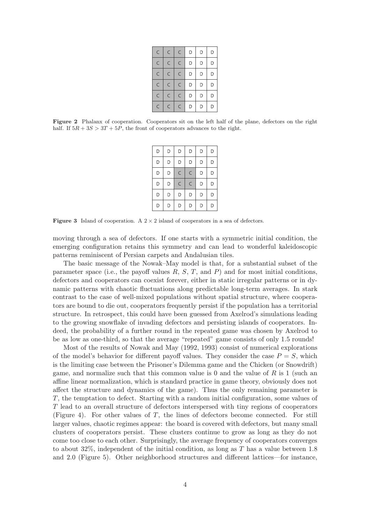| C         | $\mathsf{C}$ | $\subset$   | D | D | D |
|-----------|--------------|-------------|---|---|---|
| C         | $\subset$    | $\subset$   | D | D | D |
| $\subset$ | $\subset$    | $\subset$   | D | D | D |
| C         | $\subset$    | $\subset$   | D | D | D |
| C         | $\subset$    | $\subset$   | D | D | D |
| C         | $\subset$    | $\mathsf C$ | D | D | D |

Figure 2 Phalanx of cooperation. Cooperators sit on the left half of the plane, defectors on the right half. If  $5R + 3S > 3T + 5P$ , the front of cooperators advances to the right.

| D | D | D         | D | D | D |
|---|---|-----------|---|---|---|
| D | D | D         | D | D | D |
| D | D | $\subset$ | C | D | D |
| D | D | C         | C | D | D |
| D | D | D         | D | D | D |
| D | D | D         | D | D | D |

**Figure 3** Island of cooperation. A  $2 \times 2$  island of cooperators in a sea of defectors.

moving through a sea of defectors. If one starts with a symmetric initial condition, the emerging configuration retains this symmetry and can lead to wonderful kaleidoscopic patterns reminiscent of Persian carpets and Andalusian tiles.

The basic message of the Nowak–May model is that, for a substantial subset of the parameter space (i.e., the payoff values  $R, S, T$ , and  $P$ ) and for most initial conditions, defectors and cooperators can coexist forever, either in static irregular patterns or in dynamic patterns with chaotic fluctuations along predictable long-term averages. In stark contrast to the case of well-mixed populations without spatial structure, where cooperators are bound to die out, cooperators frequently persist if the population has a territorial structure. In retrospect, this could have been guessed from Axelrod's simulations leading to the growing snowflake of invading defectors and persisting islands of cooperators. Indeed, the probability of a further round in the repeated game was chosen by Axelrod to be as low as one-third, so that the average "repeated" game consists of only 1.5 rounds!

Most of the results of Nowak and May (1992, 1993) consist of numerical explorations of the model's behavior for different payoff values. They consider the case  $P = S$ , which is the limiting case between the Prisoner's Dilemma game and the Chicken (or Snowdrift) game, and normalize such that this common value is 0 and the value of  $R$  is 1 (such an affine linear normalization, which is standard practice in game theory, obviously does not affect the structure and dynamics of the game). Thus the only remaining parameter is T, the temptation to defect. Starting with a random initial configuration, some values of T lead to an overall structure of defectors interspersed with tiny regions of cooperators (Figure 4). For other values of T, the lines of defectors become connected. For still larger values, chaotic regimes appear: the board is covered with defectors, but many small clusters of cooperators persist. These clusters continue to grow as long as they do not come too close to each other. Surprisingly, the average frequency of cooperators converges to about 32%, independent of the initial condition, as long as  $T$  has a value between 1.8 and 2.0 (Figure 5). Other neighborhood structures and different lattices—for instance,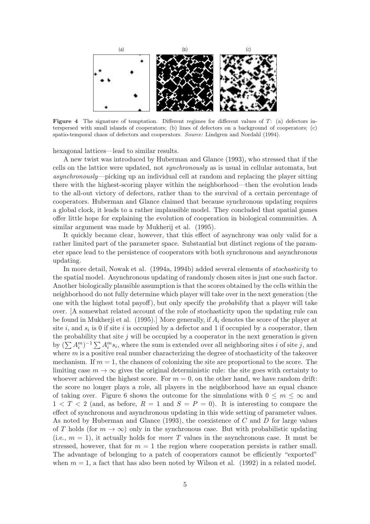

**Figure 4** The signature of temptation. Different regimes for different values of  $T$ : (a) defectors interspersed with small islands of cooperators; (b) lines of defectors on a background of cooperators; (c) spatio-temporal chaos of defectors and cooperators. Source: Lindgren and Nordahl (1994).

hexagonal lattices—lead to similar results.

A new twist was introduced by Huberman and Glance (1993), who stressed that if the cells on the lattice were updated, not *synchronously* as is usual in cellular automata, but asynchronously—picking up an individual cell at random and replacing the player sitting there with the highest-scoring player within the neighborhood—then the evolution leads to the all-out victory of defectors, rather than to the survival of a certain percentage of cooperators. Huberman and Glance claimed that because synchronous updating requires a global clock, it leads to a rather implausible model. They concluded that spatial games offer little hope for explaining the evolution of cooperation in biological communities. A similar argument was made by Mukherij et al. (1995).

It quickly became clear, however, that this effect of asynchrony was only valid for a rather limited part of the parameter space. Substantial but distinct regions of the parameter space lead to the persistence of cooperators with both synchronous and asynchronous updating.

In more detail, Nowak et al. (1994a, 1994b) added several elements of stochasticity to the spatial model. Asynchronous updating of randomly chosen sites is just one such factor. Another biologically plausible assumption is that the scores obtained by the cells within the neighborhood do not fully determine which player will take over in the next generation (the one with the highest total payoff), but only specify the probability that a player will take over. [A somewhat related account of the role of stochasticity upon the updating rule can be found in Mukherji et al. (1995). More generally, if  $A_i$  denotes the score of the player at site i, and  $s_i$  is 0 if site i is occupied by a defector and 1 if occupied by a cooperator, then the probability that site  $j$  will be occupied by a cooperator in the next generation is given by  $(\sum A_i^m)^{-1} \sum A_i^m s_i$ , where the sum is extended over all neighboring sites i of site j, and where  $m$  is a positive real number characterizing the degree of stochasticity of the takeover mechanism. If  $m = 1$ , the chances of colonizing the site are proportional to the score. The limiting case  $m \to \infty$  gives the original deterministic rule: the site goes with certainty to whoever achieved the highest score. For  $m = 0$ , on the other hand, we have random drift: the score no longer plays a role, all players in the neighborhood have an equal chance of taking over. Figure 6 shows the outcome for the simulations with  $0 \leq m \leq \infty$  and  $1 < T < 2$  (and, as before,  $R = 1$  and  $S = P = 0$ ). It is interesting to compare the effect of synchronous and asynchronous updating in this wide setting of parameter values. As noted by Huberman and Glance (1993), the coexistence of C and D for large values of T holds (for  $m \to \infty$ ) only in the synchronous case. But with probabilistic updating (i.e.,  $m = 1$ ), it actually holds for more T values in the asynchronous case. It must be stressed, however, that for  $m = 1$  the region where cooperation persists is rather small. The advantage of belonging to a patch of cooperators cannot be efficiently "exported" when  $m = 1$ , a fact that has also been noted by Wilson et al. (1992) in a related model.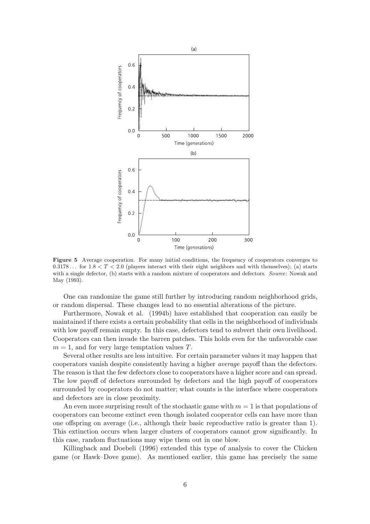

Figure 5 Average cooperation. For many initial conditions, the frequency of cooperators converges to  $0.3178...$  for  $1.8 < T < 2.0$  (players interact with their eight neighbors and with themselves); (a) starts with a single defector, (b) starts with a random mixture of cooperators and defectors. Source: Nowak and May (1993).

One can randomize the game still further by introducing random neighborhood grids, or random dispersal. These changes lead to no essential alterations of the picture.

Furthermore, Nowak et al. (1994b) have established that cooperation can easily be maintained if there exists a certain probability that cells in the neighborhood of individuals with low payoff remain empty. In this case, defectors tend to subvert their own livelihood. Cooperators can then invade the barren patches. This holds even for the unfavorable case  $m = 1$ , and for very large temptation values T.

Several other results are less intuitive. For certain parameter values it may happen that cooperators vanish despite consistently having a higher average payoff than the defectors. The reason is that the few defectors close to cooperators have a higher score and can spread. The low payoff of defectors surrounded by defectors and the high payoff of cooperators surrounded by cooperators do not matter; what counts is the interface where cooperators and defectors are in close proximity.

An even more surprising result of the stochastic game with  $m = 1$  is that populations of cooperators can become extinct even though isolated cooperator cells can have more than one offspring on average (i.e., although their basic reproductive ratio is greater than 1). This extinction occurs when larger clusters of cooperators cannot grow significantly. In this case, random fluctuations may wipe them out in one blow.

Killingback and Doebeli (1996) extended this type of analysis to cover the Chicken game (or Hawk–Dove game). As mentioned earlier, this game has precisely the same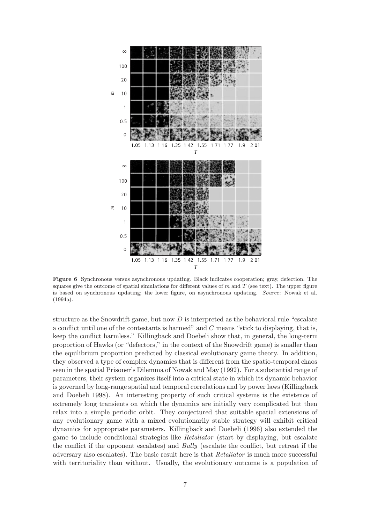

Figure 6 Synchronous versus asynchronous updating. Black indicates cooperation; gray, defection. The squares give the outcome of spatial simulations for different values of m and  $T$  (see text). The upper figure is based on synchronous updating; the lower figure, on asynchronous updating. Source: Nowak et al.  $(1994a)$ .

structure as the Snowdrift game, but now  $D$  is interpreted as the behavioral rule "escalate" a conflict until one of the contestants is harmed" and C means "stick to displaying, that is, keep the conflict harmless." Killingback and Doebeli show that, in general, the long-term proportion of Hawks (or "defectors," in the context of the Snowdrift game) is smaller than the equilibrium proportion predicted by classical evolutionary game theory. In addition, they observed a type of complex dynamics that is different from the spatio-temporal chaos seen in the spatial Prisoner's Dilemma of Nowak and May (1992). For a substantial range of parameters, their system organizes itself into a critical state in which its dynamic behavior is governed by long-range spatial and temporal correlations and by power laws (Killingback and Doebeli 1998). An interesting property of such critical systems is the existence of extremely long transients on which the dynamics are initially very complicated but then relax into a simple periodic orbit. They conjectured that suitable spatial extensions of any evolutionary game with a mixed evolutionarily stable strategy will exhibit critical dynamics for appropriate parameters. Killingback and Doebeli (1996) also extended the game to include conditional strategies like Retaliator (start by displaying, but escalate the conflict if the opponent escalates) and Bully (escalate the conflict, but retreat if the adversary also escalates). The basic result here is that *Retaliator* is much more successful with territoriality than without. Usually, the evolutionary outcome is a population of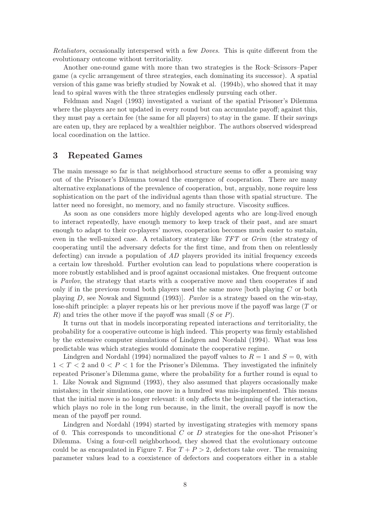Retaliators, occasionally interspersed with a few Doves. This is quite different from the evolutionary outcome without territoriality.

Another one-round game with more than two strategies is the Rock–Scissors–Paper game (a cyclic arrangement of three strategies, each dominating its successor). A spatial version of this game was briefly studied by Nowak et al. (1994b), who showed that it may lead to spiral waves with the three strategies endlessly pursuing each other.

Feldman and Nagel (1993) investigated a variant of the spatial Prisoner's Dilemma where the players are not updated in every round but can accumulate payoff; against this, they must pay a certain fee (the same for all players) to stay in the game. If their savings are eaten up, they are replaced by a wealthier neighbor. The authors observed widespread local coordination on the lattice.

#### 3 Repeated Games

The main message so far is that neighborhood structure seems to offer a promising way out of the Prisoner's Dilemma toward the emergence of cooperation. There are many alternative explanations of the prevalence of cooperation, but, arguably, none require less sophistication on the part of the individual agents than those with spatial structure. The latter need no foresight, no memory, and no family structure. Viscosity suffices.

As soon as one considers more highly developed agents who are long-lived enough to interact repeatedly, have enough memory to keep track of their past, and are smart enough to adapt to their co-players' moves, cooperation becomes much easier to sustain, even in the well-mixed case. A retaliatory strategy like TFT or Grim (the strategy of cooperating until the adversary defects for the first time, and from then on relentlessly defecting) can invade a population of AD players provided its initial frequency exceeds a certain low threshold. Further evolution can lead to populations where cooperation is more robustly established and is proof against occasional mistakes. One frequent outcome is Pavlov, the strategy that starts with a cooperative move and then cooperates if and only if in the previous round both players used the same move  $[both$  playing  $C$  or both playing D, see Nowak and Sigmund (1993)]. Pavlov is a strategy based on the win-stay, lose-shift principle: a player repeats his or her previous move if the payoff was large (T or R) and tries the other move if the payoff was small  $(S \text{ or } P)$ .

It turns out that in models incorporating repeated interactions and territoriality, the probability for a cooperative outcome is high indeed. This property was firmly established by the extensive computer simulations of Lindgren and Nordahl (1994). What was less predictable was which strategies would dominate the cooperative regime.

Lindgren and Nordahl (1994) normalized the payoff values to  $R = 1$  and  $S = 0$ , with  $1 < T < 2$  and  $0 < P < 1$  for the Prisoner's Dilemma. They investigated the infinitely repeated Prisoner's Dilemma game, where the probability for a further round is equal to 1. Like Nowak and Sigmund (1993), they also assumed that players occasionally make mistakes; in their simulations, one move in a hundred was mis-implemented. This means that the initial move is no longer relevant: it only affects the beginning of the interaction, which plays no role in the long run because, in the limit, the overall payoff is now the mean of the payoff per round.

Lindgren and Nordahl (1994) started by investigating strategies with memory spans of 0. This corresponds to unconditional C or D strategies for the one-shot Prisoner's Dilemma. Using a four-cell neighborhood, they showed that the evolutionary outcome could be as encapsulated in Figure 7. For  $T + P > 2$ , defectors take over. The remaining parameter values lead to a coexistence of defectors and cooperators either in a stable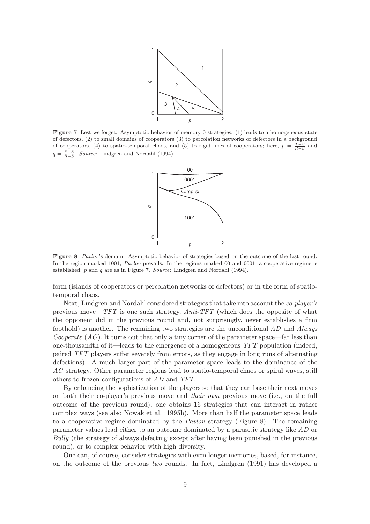

Figure 7 Lest we forget. Asymptotic behavior of memory-0 strategies: (1) leads to a homogeneous state of defectors, (2) to small domains of cooperators (3) to percolation networks of defectors in a background of cooperators, (4) to spatio-temporal chaos, and (5) to rigid lines of cooperators; here,  $p = \frac{T-S}{R-S}$  and  $q = \frac{P-S}{R-S}$ . Source: Lindgren and Nordahl (1994).



Figure 8 Pavlov's domain. Asymptotic behavior of strategies based on the outcome of the last round. In the region marked 1001, *Pavlov* prevails. In the regions marked 00 and 0001, a cooperative regime is established; p and q are as in Figure 7. Source: Lindgren and Nordahl (1994).

form (islands of cooperators or percolation networks of defectors) or in the form of spatiotemporal chaos.

Next, Lindgren and Nordahl considered strategies that take into account the co-player's previous move—TFT is one such strategy, Anti-TFT (which does the opposite of what the opponent did in the previous round and, not surprisingly, never establishes a firm foothold) is another. The remaining two strategies are the unconditional  $AD$  and  $Always$ Cooperate  $(AC)$ . It turns out that only a tiny corner of the parameter space—far less than one-thousandth of it—leads to the emergence of a homogeneous  $TFT$  population (indeed, paired TFT players suffer severely from errors, as they engage in long runs of alternating defections). A much larger part of the parameter space leads to the dominance of the AC strategy. Other parameter regions lead to spatio-temporal chaos or spiral waves, still others to frozen configurations of AD and TFT.

By enhancing the sophistication of the players so that they can base their next moves on both their co-player's previous move and their own previous move (i.e., on the full outcome of the previous round), one obtains 16 strategies that can interact in rather complex ways (see also Nowak et al. 1995b). More than half the parameter space leads to a cooperative regime dominated by the Pavlov strategy (Figure 8). The remaining parameter values lead either to an outcome dominated by a parasitic strategy like AD or Bully (the strategy of always defecting except after having been punished in the previous round), or to complex behavior with high diversity.

One can, of course, consider strategies with even longer memories, based, for instance, on the outcome of the previous two rounds. In fact, Lindgren (1991) has developed a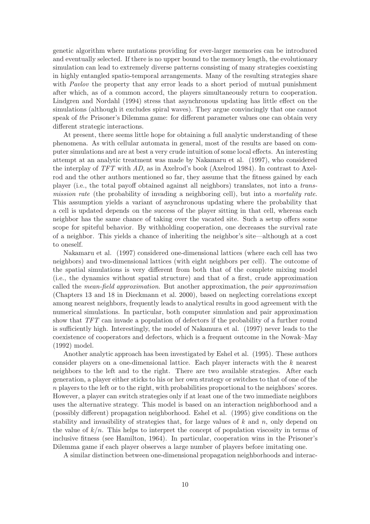genetic algorithm where mutations providing for ever-larger memories can be introduced and eventually selected. If there is no upper bound to the memory length, the evolutionary simulation can lead to extremely diverse patterns consisting of many strategies coexisting in highly entangled spatio-temporal arrangements. Many of the resulting strategies share with *Pavlov* the property that any error leads to a short period of mutual punishment after which, as of a common accord, the players simultaneously return to cooperation. Lindgren and Nordahl (1994) stress that asynchronous updating has little effect on the simulations (although it excludes spiral waves). They argue convincingly that one cannot speak of the Prisoner's Dilemma game: for different parameter values one can obtain very different strategic interactions.

At present, there seems little hope for obtaining a full analytic understanding of these phenomena. As with cellular automata in general, most of the results are based on computer simulations and are at best a very crude intuition of some local effects. An interesting attempt at an analytic treatment was made by Nakamaru et al. (1997), who considered the interplay of TFT with AD, as in Axelrod's book (Axelrod 1984). In contrast to Axelrod and the other authors mentioned so far, they assume that the fitness gained by each player (i.e., the total payoff obtained against all neighbors) translates, not into a transmission rate (the probability of invading a neighboring cell), but into a mortality rate. This assumption yields a variant of asynchronous updating where the probability that a cell is updated depends on the success of the player sitting in that cell, whereas each neighbor has the same chance of taking over the vacated site. Such a setup offers some scope for spiteful behavior. By withholding cooperation, one decreases the survival rate of a neighbor. This yields a chance of inheriting the neighbor's site—although at a cost to oneself.

Nakamaru et al. (1997) considered one-dimensional lattices (where each cell has two neighbors) and two-dimensional lattices (with eight neighbors per cell). The outcome of the spatial simulations is very different from both that of the complete mixing model (i.e., the dynamics without spatial structure) and that of a first, crude approximation called the mean-field approximation. But another approximation, the pair approximation (Chapters 13 and 18 in Dieckmann et al. 2000), based on neglecting correlations except among nearest neighbors, frequently leads to analytical results in good agreement with the numerical simulations. In particular, both computer simulation and pair approximation show that TFT can invade a population of defectors if the probability of a further round is sufficiently high. Interestingly, the model of Nakamura et al. (1997) never leads to the coexistence of cooperators and defectors, which is a frequent outcome in the Nowak–May (1992) model.

Another analytic approach has been investigated by Eshel et al. (1995). These authors consider players on a one-dimensional lattice. Each player interacts with the k nearest neighbors to the left and to the right. There are two available strategies. After each generation, a player either sticks to his or her own strategy or switches to that of one of the  $n$  players to the left or to the right, with probabilities proportional to the neighbors' scores. However, a player can switch strategies only if at least one of the two immediate neighbors uses the alternative strategy. This model is based on an interaction neighborhood and a (possibly different) propagation neighborhood. Eshel et al. (1995) give conditions on the stability and invasibility of strategies that, for large values of  $k$  and  $n$ , only depend on the value of  $k/n$ . This helps to interpret the concept of population viscosity in terms of inclusive fitness (see Hamilton, 1964). In particular, cooperation wins in the Prisoner's Dilemma game if each player observes a large number of players before imitating one.

A similar distinction between one-dimensional propagation neighborhoods and interac-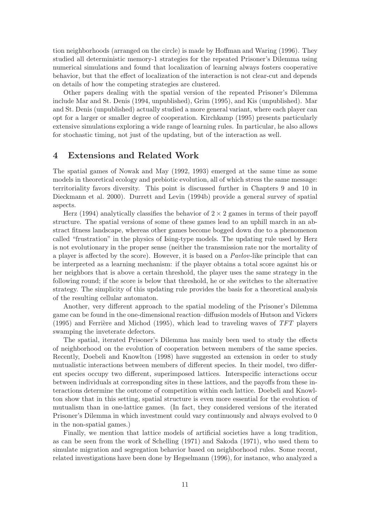tion neighborhoods (arranged on the circle) is made by Hoffman and Waring (1996). They studied all deterministic memory-1 strategies for the repeated Prisoner's Dilemma using numerical simulations and found that localization of learning always fosters cooperative behavior, but that the effect of localization of the interaction is not clear-cut and depends on details of how the competing strategies are clustered.

Other papers dealing with the spatial version of the repeated Prisoner's Dilemma include Mar and St. Denis (1994, unpublished), Grim (1995), and Kis (unpublished). Mar and St. Denis (unpublished) actually studied a more general variant, where each player can opt for a larger or smaller degree of cooperation. Kirchkamp (1995) presents particularly extensive simulations exploring a wide range of learning rules. In particular, he also allows for stochastic timing, not just of the updating, but of the interaction as well.

#### 4 Extensions and Related Work

The spatial games of Nowak and May (1992, 1993) emerged at the same time as some models in theoretical ecology and prebiotic evolution, all of which stress the same message: territoriality favors diversity. This point is discussed further in Chapters 9 and 10 in Dieckmann et al. 2000). Durrett and Levin (1994b) provide a general survey of spatial aspects.

Herz (1994) analytically classifies the behavior of  $2 \times 2$  games in terms of their payoff structure. The spatial versions of some of these games lead to an uphill march in an abstract fitness landscape, whereas other games become bogged down due to a phenomenon called "frustration" in the physics of Ising-type models. The updating rule used by Herz is not evolutionary in the proper sense (neither the transmission rate nor the mortality of a player is affected by the score). However, it is based on a Pavlov-like principle that can be interpreted as a learning mechanism: if the player obtains a total score against his or her neighbors that is above a certain threshold, the player uses the same strategy in the following round; if the score is below that threshold, he or she switches to the alternative strategy. The simplicity of this updating rule provides the basis for a theoretical analysis of the resulting cellular automaton.

Another, very different approach to the spatial modeling of the Prisoner's Dilemma game can be found in the one-dimensional reaction–diffusion models of Hutson and Vickers (1995) and Ferrière and Michod (1995), which lead to traveling waves of  $TFT$  players swamping the inveterate defectors.

The spatial, iterated Prisoner's Dilemma has mainly been used to study the effects of neighborhood on the evolution of cooperation between members of the same species. Recently, Doebeli and Knowlton (1998) have suggested an extension in order to study mutualistic interactions between members of different species. In their model, two different species occupy two different, superimposed lattices. Interspecific interactions occur between individuals at corresponding sites in these lattices, and the payoffs from these interactions determine the outcome of competition within each lattice. Doebeli and Knowlton show that in this setting, spatial structure is even more essential for the evolution of mutualism than in one-lattice games. (In fact, they considered versions of the iterated Prisoner's Dilemma in which investment could vary continuously and always evolved to 0 in the non-spatial games.)

Finally, we mention that lattice models of artificial societies have a long tradition, as can be seen from the work of Schelling (1971) and Sakoda (1971), who used them to simulate migration and segregation behavior based on neighborhood rules. Some recent, related investigations have been done by Hegselmann (1996), for instance, who analyzed a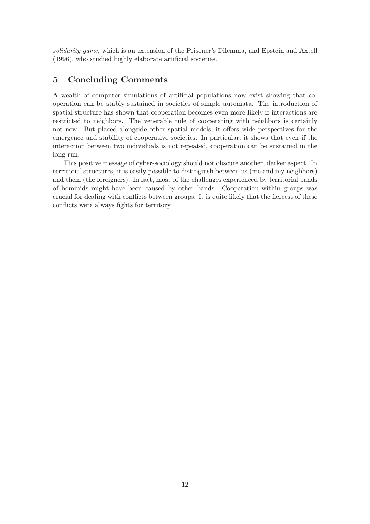solidarity game, which is an extension of the Prisoner's Dilemma, and Epstein and Axtell (1996), who studied highly elaborate artificial societies.

### 5 Concluding Comments

A wealth of computer simulations of artificial populations now exist showing that cooperation can be stably sustained in societies of simple automata. The introduction of spatial structure has shown that cooperation becomes even more likely if interactions are restricted to neighbors. The venerable rule of cooperating with neighbors is certainly not new. But placed alongside other spatial models, it offers wide perspectives for the emergence and stability of cooperative societies. In particular, it shows that even if the interaction between two individuals is not repeated, cooperation can be sustained in the long run.

This positive message of cyber-sociology should not obscure another, darker aspect. In territorial structures, it is easily possible to distinguish between us (me and my neighbors) and them (the foreigners). In fact, most of the challenges experienced by territorial bands of hominids might have been caused by other bands. Cooperation within groups was crucial for dealing with conflicts between groups. It is quite likely that the fiercest of these conflicts were always fights for territory.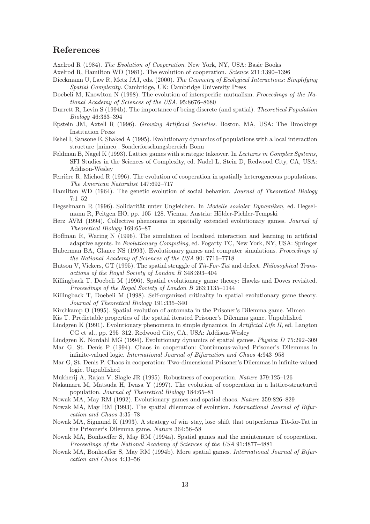#### References

Axelrod R (1984). The Evolution of Cooperation. New York, NY, USA: Basic Books

Axelrod R, Hamilton WD (1981). The evolution of cooperation. Science 211:1390–1396

Dieckmann U, Law R, Metz JAJ, eds. (2000). The Geometry of Ecological Interactions: Simplifying Spatial Complexity. Cambridge, UK: Cambridge University Press

Doebeli M, Knowlton N (1998). The evolution of interspecific mutualism. Proceedings of the National Academy of Sciences of the USA, 95:8676–8680

Durrett R, Levin S (1994b). The importance of being discrete (and spatial). Theoretical Population Biology 46:363–394

Epstein JM, Axtell R (1996). Growing Artificial Societies. Boston, MA, USA: The Brookings Institution Press

Eshel I, Sansone E, Shaked A (1995). Evolutionary dynamics of populations with a local interaction structure [mimeo]. Sonderforschungsbereich Bonn

Feldman B, Nagel K (1993). Lattice games with strategic takeover. In Lectures in Complex Systems, SFI Studies in the Sciences of Complexity, ed. Nadel L, Stein D, Redwood City, CA, USA: Addison-Wesley

Ferrière R, Michod R (1996). The evolution of cooperation in spatially heterogeneous populations. The American Naturalist 147:692–717

Hamilton WD (1964). The genetic evolution of social behavior. Journal of Theoretical Biology 7:1–52

Hegselmann R (1996). Solidarität unter Ungleichen. In Modelle sozialer Dynamiken, ed. Hegselmann R, Peitgen HO, pp. 105–128. Vienna, Austria: Hölder-Pichler-Tempski

Herz AVM (1994). Collective phenomena in spatially extended evolutionary games. Journal of Theoretical Biology 169:65–87

Hoffman R, Waring N (1996). The simulation of localised interaction and learning in artificial adaptive agents. In Evolutionary Computing, ed. Fogarty TC, New York, NY, USA: Springer

Huberman BA, Glance NS (1993). Evolutionary games and computer simulations. Proceedings of the National Academy of Sciences of the USA 90: 7716–7718

Hutson V, Vickers, GT (1995). The spatial struggle of Tit-For-Tat and defect. Philosophical Transactions of the Royal Society of London B 348:393–404

Killingback T, Doebeli M (1996). Spatial evolutionary game theory: Hawks and Doves revisited. Proceedings of the Royal Society of London B 263:1135–1144

Killingback T, Doebeli M (1998). Self-organized criticality in spatial evolutionary game theory. Journal of Theoretical Biology 191:335–340

Kirchkamp O (1995). Spatial evolution of automata in the Prisoner's Dilemma game. Mimeo

Kis T. Predictable properties of the spatial iterated Prisoner's Dilemma game. Unpublished

Lindgren K (1991). Evolutionary phenomena in simple dynamics. In Artificial Life II, ed. Langton CG et al., pp. 295–312. Redwood City, CA, USA: Addison-Wesley

Lindgren K, Nordahl MG (1994). Evolutionary dynamics of spatial games. Physica D 75:292–309

Mar G, St. Denis P (1994). Chaos in cooperation: Continuous-valued Prisoner's Dilemmas in infinite-valued logic. International Journal of Bifurcation and Chaos 4:943–958

Mar G, St. Denis P. Chaos in cooperation: Two-dimensional Prisoner's Dilemmas in infinite-valued logic. Unpublished

Mukherij A, Rajan V, Slagle JR (1995). Robustness of cooperation. Nature 379:125–126

Nakamaru M, Matsuda H, Iwasa Y (1997). The evolution of cooperation in a lattice-structured population. Journal of Theoretical Biology 184:65–81

Nowak MA, May RM (1992). Evolutionary games and spatial chaos. Nature 359:826–829

Nowak MA, May RM (1993). The spatial dilemmas of evolution. International Journal of Bifurcation and Chaos 3:35–78

Nowak MA, Sigmund K (1993). A strategy of win–stay, lose–shift that outperforms Tit-for-Tat in the Prisoner's Dilemma game. Nature 364:56–58

Nowak MA, Bonhoeffer S, May RM (1994a). Spatial games and the maintenance of cooperation. Proceedings of the National Academy of Sciences of the USA 91:4877–4881

Nowak MA, Bonhoeffer S, May RM (1994b). More spatial games. International Journal of Bifurcation and Chaos 4:33–56